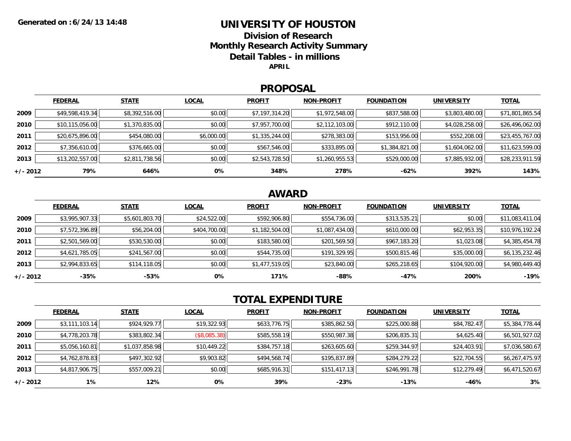### **UNIVERSITY OF HOUSTON**

**Division of ResearchMonthly Research Activity Summary Detail Tables - in millions APRIL**

#### **PROPOSAL**

|            | <b>FEDERAL</b>  | <b>STATE</b>   | <b>LOCAL</b> | <b>PROFIT</b>  | <b>NON-PROFIT</b> | <b>FOUNDATION</b> | <b>UNIVERSITY</b> | <u>TOTAL</u>    |
|------------|-----------------|----------------|--------------|----------------|-------------------|-------------------|-------------------|-----------------|
| 2009       | \$49,598,419.34 | \$8,392,516.00 | \$0.00       | \$7,197,314.20 | \$1,972,548.00    | \$837,588.00      | \$3,803,480.00    | \$71,801,865.54 |
| 2010       | \$10,115,056.00 | \$1,370,835.00 | \$0.00       | \$7,957,700.00 | \$2,112,103.00    | \$912,110.00      | \$4,028,258.00    | \$26,496,062.00 |
| 2011       | \$20,675,896.00 | \$454,080.00   | \$6,000.00   | \$1,335,244.00 | \$278,383.00      | \$153,956.00      | \$552,208.00      | \$23,455,767.00 |
| 2012       | \$7,356,610.00  | \$376,665.00   | \$0.00       | \$567,546.00   | \$333,895.00      | \$1,384,821.00    | \$1,604,062.00    | \$11,623,599.00 |
| 2013       | \$13,202,557.00 | \$2,811,738.56 | \$0.00       | \$2,543,728.50 | \$1,260,955.53    | \$529,000.00      | \$7,885,932.00    | \$28,233,911.59 |
| $+/- 2012$ | 79%             | 646%           | 0%           | 348%           | 278%              | -62%              | 392%              | 143%            |

## **AWARD**

|            | <b>FEDERAL</b> | <b>STATE</b>   | <b>LOCAL</b> | <b>PROFIT</b>  | <b>NON-PROFIT</b> | <b>FOUNDATION</b> | <b>UNIVERSITY</b> | <b>TOTAL</b>    |
|------------|----------------|----------------|--------------|----------------|-------------------|-------------------|-------------------|-----------------|
| 2009       | \$3,995,907.33 | \$5,601,803.70 | \$24,522.00  | \$592,906.80   | \$554,736.00      | \$313,535.21      | \$0.00            | \$11,083,411.04 |
| 2010       | \$7,572,396.89 | \$56,204.00    | \$404,700.00 | \$1,182,504.00 | \$1,087,434.00    | \$610,000.00      | \$62,953.35       | \$10,976,192.24 |
| 2011       | \$2,501,569.00 | \$530,530.00   | \$0.00       | \$183,580.00   | \$201,569.50      | \$967,183.20      | \$1,023.08        | \$4,385,454.78  |
| 2012       | \$4,621,785.05 | \$241,567.00   | \$0.00       | \$544,735.00   | \$191,329.95      | \$500,815.46      | \$35,000.00       | \$6,135,232.46  |
| 2013       | \$2,994,833.65 | \$114,118.05   | \$0.00       | \$1,477,519.05 | \$23,840.00       | \$265,218.65      | \$104,920.00      | \$4,980,449.40  |
| $+/- 2012$ | $-35%$         | $-53%$         | 0%           | 171%           | -88%              | $-47%$            | 200%              | $-19%$          |

# **TOTAL EXPENDITURE**

|            | <b>FEDERAL</b> | <b>STATE</b>   | <b>LOCAL</b> | <b>PROFIT</b> | <b>NON-PROFIT</b> | <b>FOUNDATION</b> | <b>UNIVERSITY</b> | <u>TOTAL</u>   |
|------------|----------------|----------------|--------------|---------------|-------------------|-------------------|-------------------|----------------|
| 2009       | \$3,111,103.14 | \$924,929.77   | \$19,322.93  | \$633,776.75  | \$385,862.50      | \$225,000.88      | \$84,782.47       | \$5,384,778.44 |
| 2010       | \$4,778,203.78 | \$383,802.34   | (\$8,085.38) | \$585,558.19  | \$550,987.38      | \$206,835.31      | \$4,625.40        | \$6,501,927.02 |
| 2011       | \$5,056,160.81 | \$1,037,858.98 | \$10,449.22  | \$384,757.18  | \$263,605.60      | \$259,344.97      | \$24,403.91       | \$7,036,580.67 |
| 2012       | \$4,762,878.83 | \$497,302.92   | \$9,903.82   | \$494,568.74  | \$195,837.89      | \$284,279.22      | \$22,704.55       | \$6,267,475.97 |
| 2013       | \$4,817,906.75 | \$557,009.21   | \$0.00       | \$685,916.31  | \$151,417.13      | \$246,991.78      | \$12,279.49       | \$6,471,520.67 |
| $+/- 2012$ | 1%             | 12%            | 0%           | 39%           | $-23%$            | $-13%$            | -46%              | 3%             |